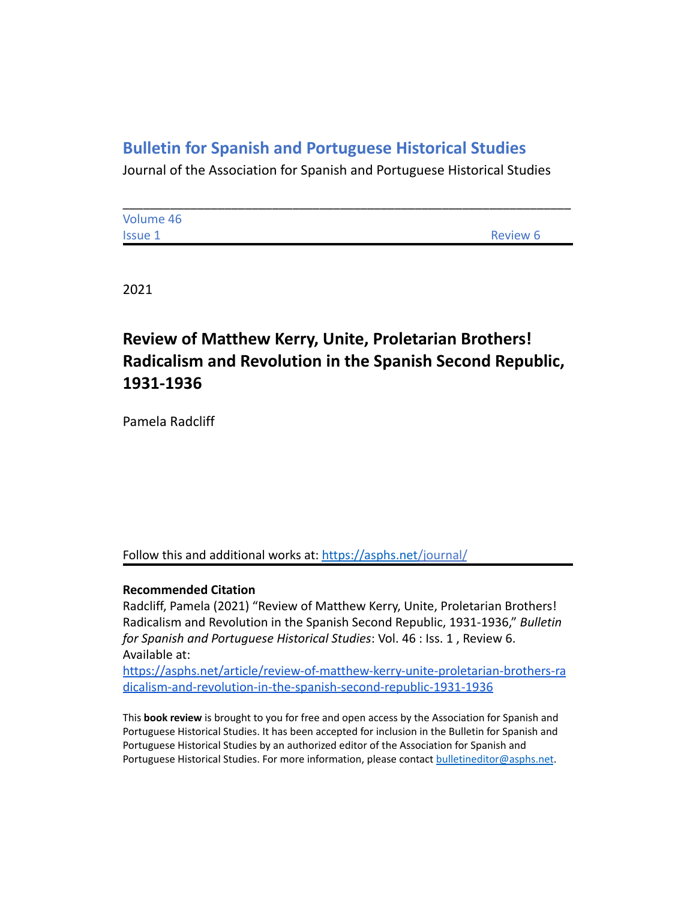## **Bulletin for Spanish and Portuguese Historical Studies**

Journal of the Association for Spanish and Portuguese Historical Studies

| Volume 46      |          |
|----------------|----------|
| <b>Issue 1</b> | Review 6 |

2021

# **Review of Matthew Kerry, Unite, Proletarian Brothers! Radicalism and Revolution in the Spanish Second Republic, 1931-1936**

Pamela Radcliff

Follow this and additional works at: <https://asphs.net/journal/>

#### **Recommended Citation**

Radcliff, Pamela (2021) "Review of Matthew Kerry, Unite, Proletarian Brothers! Radicalism and Revolution in the Spanish Second Republic, 1931-1936," *Bulletin for Spanish and Portuguese Historical Studies*: Vol. 46 : Iss. 1 , Review 6. Available at:

[https://asphs.net/article/review-of-matthew-kerry-unite-proletarian-brothers-ra](https://asphs.net/article/review-of-matthew-kerry-unite-proletarian-brothers-radicalism-and-revolution-in-the-spanish-second-republic-1931-1936) [dicalism-and-revolution-in-the-spanish-second-republic-1931-1936](https://asphs.net/article/review-of-matthew-kerry-unite-proletarian-brothers-radicalism-and-revolution-in-the-spanish-second-republic-1931-1936)

This **book review** is brought to you for free and open access by the Association for Spanish and Portuguese Historical Studies. It has been accepted for inclusion in the Bulletin for Spanish and Portuguese Historical Studies by an authorized editor of the Association for Spanish and Portuguese Historical Studies. For more information, please contact [bulletineditor@asphs.net](mailto:bulletineditor@asphs.net).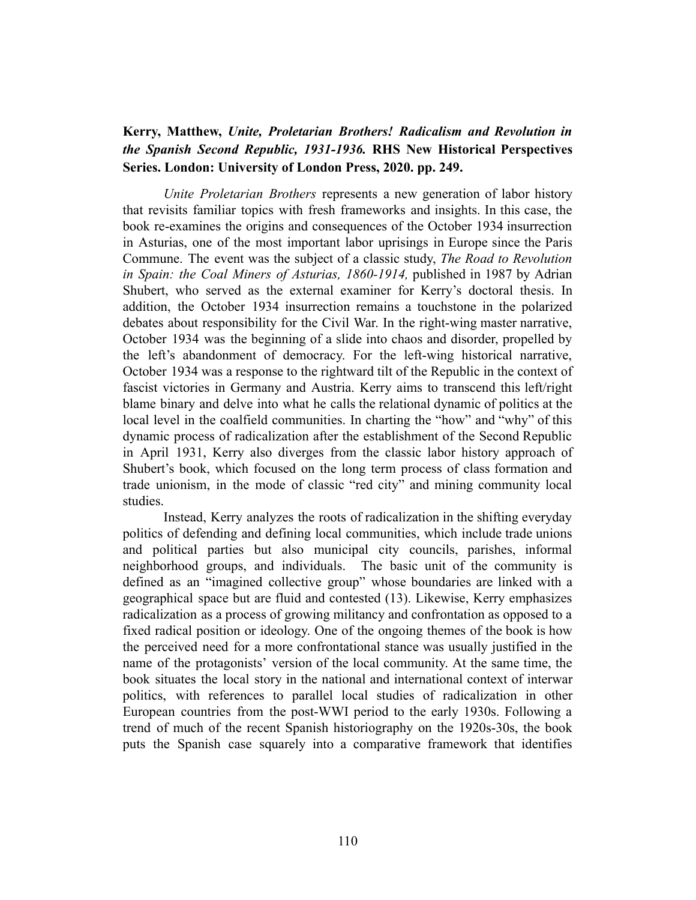### **Kerry, Matthew,** *Unite, Proletarian Brothers! Radicalism and Revolution in the Spanish Second Republic, 1931-1936.* **RHS New Historical Perspectives Series. London: University of London Press, 2020. pp. 249.**

*Unite Proletarian Brothers* represents a new generation of labor history that revisits familiar topics with fresh frameworks and insights. In this case, the book re-examines the origins and consequences of the October 1934 insurrection in Asturias, one of the most important labor uprisings in Europe since the Paris Commune. The event was the subject of a classic study, *The Road to Revolution in Spain: the Coal Miners of Asturias, 1860-1914,* published in 1987 by Adrian Shubert, who served as the external examiner for Kerry's doctoral thesis. In addition, the October 1934 insurrection remains a touchstone in the polarized debates about responsibility for the Civil War. In the right-wing master narrative, October 1934 was the beginning of a slide into chaos and disorder, propelled by the left's abandonment of democracy. For the left-wing historical narrative, October 1934 was a response to the rightward tilt of the Republic in the context of fascist victories in Germany and Austria. Kerry aims to transcend this left/right blame binary and delve into what he calls the relational dynamic of politics at the local level in the coalfield communities. In charting the "how" and "why" of this dynamic process of radicalization after the establishment of the Second Republic in April 1931, Kerry also diverges from the classic labor history approach of Shubert's book, which focused on the long term process of class formation and trade unionism, in the mode of classic "red city" and mining community local studies.

Instead, Kerry analyzes the roots of radicalization in the shifting everyday politics of defending and defining local communities, which include trade unions and political parties but also municipal city councils, parishes, informal neighborhood groups, and individuals. The basic unit of the community is defined as an "imagined collective group" whose boundaries are linked with a geographical space but are fluid and contested (13). Likewise, Kerry emphasizes radicalization as a process of growing militancy and confrontation as opposed to a fixed radical position or ideology. One of the ongoing themes of the book is how the perceived need for a more confrontational stance was usually justified in the name of the protagonists' version of the local community. At the same time, the book situates the local story in the national and international context of interwar politics, with references to parallel local studies of radicalization in other European countries from the post-WWI period to the early 1930s. Following a trend of much of the recent Spanish historiography on the 1920s-30s, the book puts the Spanish case squarely into a comparative framework that identifies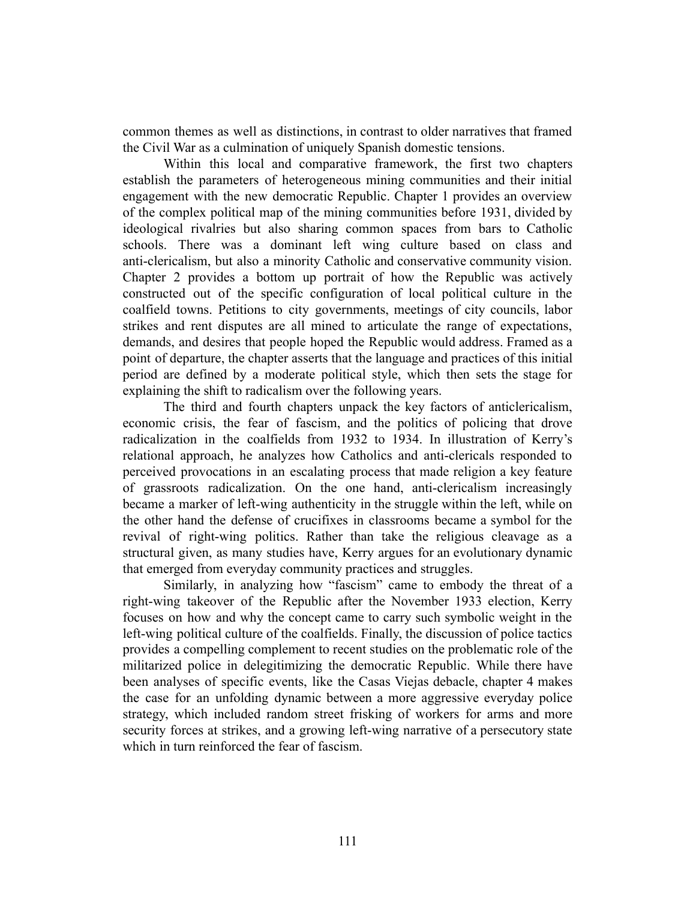common themes as well as distinctions, in contrast to older narratives that framed the Civil War as a culmination of uniquely Spanish domestic tensions.

Within this local and comparative framework, the first two chapters establish the parameters of heterogeneous mining communities and their initial engagement with the new democratic Republic. Chapter 1 provides an overview of the complex political map of the mining communities before 1931, divided by ideological rivalries but also sharing common spaces from bars to Catholic schools. There was a dominant left wing culture based on class and anti-clericalism, but also a minority Catholic and conservative community vision. Chapter 2 provides a bottom up portrait of how the Republic was actively constructed out of the specific configuration of local political culture in the coalfield towns. Petitions to city governments, meetings of city councils, labor strikes and rent disputes are all mined to articulate the range of expectations, demands, and desires that people hoped the Republic would address. Framed as a point of departure, the chapter asserts that the language and practices of this initial period are defined by a moderate political style, which then sets the stage for explaining the shift to radicalism over the following years.

The third and fourth chapters unpack the key factors of anticlericalism, economic crisis, the fear of fascism, and the politics of policing that drove radicalization in the coalfields from 1932 to 1934. In illustration of Kerry's relational approach, he analyzes how Catholics and anti-clericals responded to perceived provocations in an escalating process that made religion a key feature of grassroots radicalization. On the one hand, anti-clericalism increasingly became a marker of left-wing authenticity in the struggle within the left, while on the other hand the defense of crucifixes in classrooms became a symbol for the revival of right-wing politics. Rather than take the religious cleavage as a structural given, as many studies have, Kerry argues for an evolutionary dynamic that emerged from everyday community practices and struggles.

Similarly, in analyzing how "fascism" came to embody the threat of a right-wing takeover of the Republic after the November 1933 election, Kerry focuses on how and why the concept came to carry such symbolic weight in the left-wing political culture of the coalfields. Finally, the discussion of police tactics provides a compelling complement to recent studies on the problematic role of the militarized police in delegitimizing the democratic Republic. While there have been analyses of specific events, like the Casas Viejas debacle, chapter 4 makes the case for an unfolding dynamic between a more aggressive everyday police strategy, which included random street frisking of workers for arms and more security forces at strikes, and a growing left-wing narrative of a persecutory state which in turn reinforced the fear of fascism.